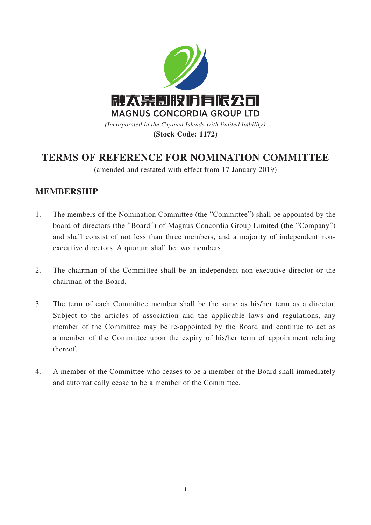

**(Stock Code: 1172)**

# **TERMS OF REFERENCE FOR NOMINATION COMMITTEE**

(amended and restated with effect from 17 January 2019)

## **MEMBERSHIP**

- 1. The members of the Nomination Committee (the "Committee") shall be appointed by the board of directors (the "Board") of Magnus Concordia Group Limited (the "Company") and shall consist of not less than three members, and a majority of independent nonexecutive directors. A quorum shall be two members.
- 2. The chairman of the Committee shall be an independent non-executive director or the chairman of the Board.
- 3. The term of each Committee member shall be the same as his/her term as a director. Subject to the articles of association and the applicable laws and regulations, any member of the Committee may be re-appointed by the Board and continue to act as a member of the Committee upon the expiry of his/her term of appointment relating thereof.
- 4. A member of the Committee who ceases to be a member of the Board shall immediately and automatically cease to be a member of the Committee.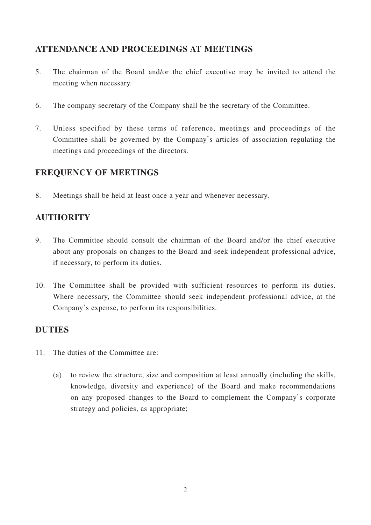## **ATTENDANCE AND PROCEEDINGS AT MEETINGS**

- 5. The chairman of the Board and/or the chief executive may be invited to attend the meeting when necessary.
- 6. The company secretary of the Company shall be the secretary of the Committee.
- 7. Unless specified by these terms of reference, meetings and proceedings of the Committee shall be governed by the Company's articles of association regulating the meetings and proceedings of the directors.

# **FREQUENCY OF MEETINGS**

8. Meetings shall be held at least once a year and whenever necessary.

# **AUTHORITY**

- 9. The Committee should consult the chairman of the Board and/or the chief executive about any proposals on changes to the Board and seek independent professional advice, if necessary, to perform its duties.
- 10. The Committee shall be provided with sufficient resources to perform its duties. Where necessary, the Committee should seek independent professional advice, at the Company's expense, to perform its responsibilities.

## **DUTIES**

- 11. The duties of the Committee are:
	- (a) to review the structure, size and composition at least annually (including the skills, knowledge, diversity and experience) of the Board and make recommendations on any proposed changes to the Board to complement the Company's corporate strategy and policies, as appropriate;